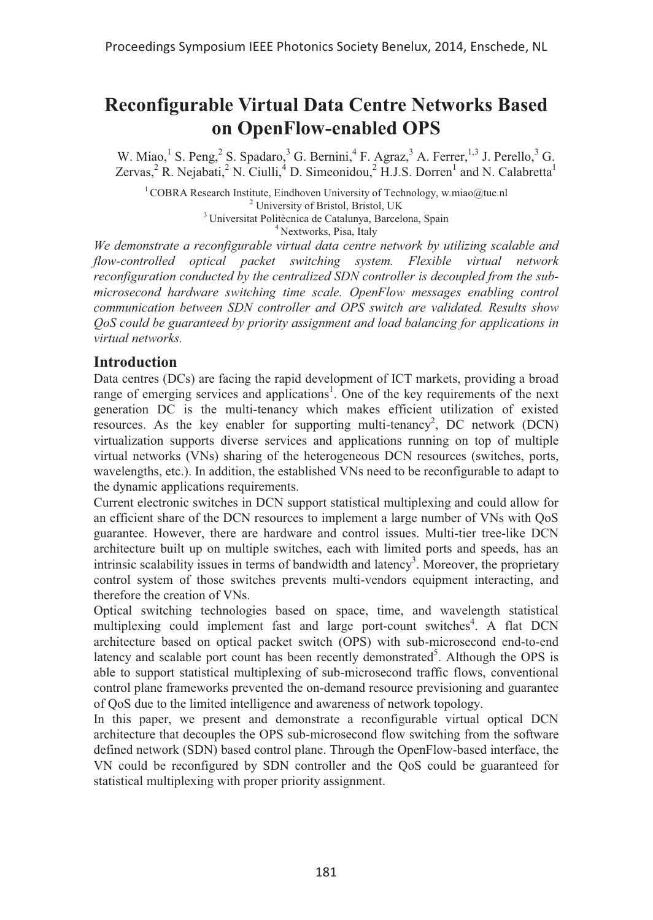# **Reconfigurable Virtual Data Centre Networks Based on OpenFlow-enabled OPS**

W. Miao,<sup>1</sup> S. Peng,<sup>2</sup> S. Spadaro,<sup>3</sup> G. Bernini,<sup>4</sup> F. Agraz,<sup>3</sup> A. Ferrer,<sup>1,3</sup> J. Perello,<sup>3</sup> G. Zervas,<sup>2</sup> R. Nejabati,<sup>2</sup> N. Ciulli,<sup>4</sup> D. Simeonidou,<sup>2</sup> H.J.S. Dorren<sup>1</sup> and N. Calabretta<sup>1</sup>

<sup>1</sup> COBRA Research Institute, Eindhoven University of Technology, w.miao@tue.nl <sup>2</sup> University of Bristol, Bristol, UK  $3$  Universitat Politècnica de Catalunya, Barcelona, Spain  $4$  Nextworks, Pisa, Italy

*We demonstrate a reconfigurable virtual data centre network by utilizing scalable and flow-controlled optical packet switching system. Flexible virtual network reconfiguration conducted by the centralized SDN controller is decoupled from the submicrosecond hardware switching time scale. OpenFlow messages enabling control communication between SDN controller and OPS switch are validated. Results show QoS could be guaranteed by priority assignment and load balancing for applications in virtual networks.* 

## **Introduction**

Data centres (DCs) are facing the rapid development of ICT markets, providing a broad range of emerging services and applications<sup>1</sup>. One of the key requirements of the next generation DC is the multi-tenancy which makes efficient utilization of existed resources. As the key enabler for supporting multi-tenancy<sup>2</sup>, DC network (DCN) virtualization supports diverse services and applications running on top of multiple virtual networks (VNs) sharing of the heterogeneous DCN resources (switches, ports, wavelengths, etc.). In addition, the established VNs need to be reconfigurable to adapt to the dynamic applications requirements.

Current electronic switches in DCN support statistical multiplexing and could allow for an efficient share of the DCN resources to implement a large number of VNs with QoS guarantee. However, there are hardware and control issues. Multi-tier tree-like DCN architecture built up on multiple switches, each with limited ports and speeds, has an intrinsic scalability issues in terms of bandwidth and latency<sup>3</sup>. Moreover, the proprietary control system of those switches prevents multi-vendors equipment interacting, and therefore the creation of VNs.

Optical switching technologies based on space, time, and wavelength statistical multiplexing could implement fast and large port-count switches<sup>4</sup>. A flat DCN architecture based on optical packet switch (OPS) with sub-microsecond end-to-end latency and scalable port count has been recently demonstrated<sup>5</sup>. Although the OPS is able to support statistical multiplexing of sub-microsecond traffic flows, conventional control plane frameworks prevented the on-demand resource previsioning and guarantee of QoS due to the limited intelligence and awareness of network topology.

In this paper, we present and demonstrate a reconfigurable virtual optical DCN architecture that decouples the OPS sub-microsecond flow switching from the software defined network (SDN) based control plane. Through the OpenFlow-based interface, the VN could be reconfigured by SDN controller and the QoS could be guaranteed for statistical multiplexing with proper priority assignment.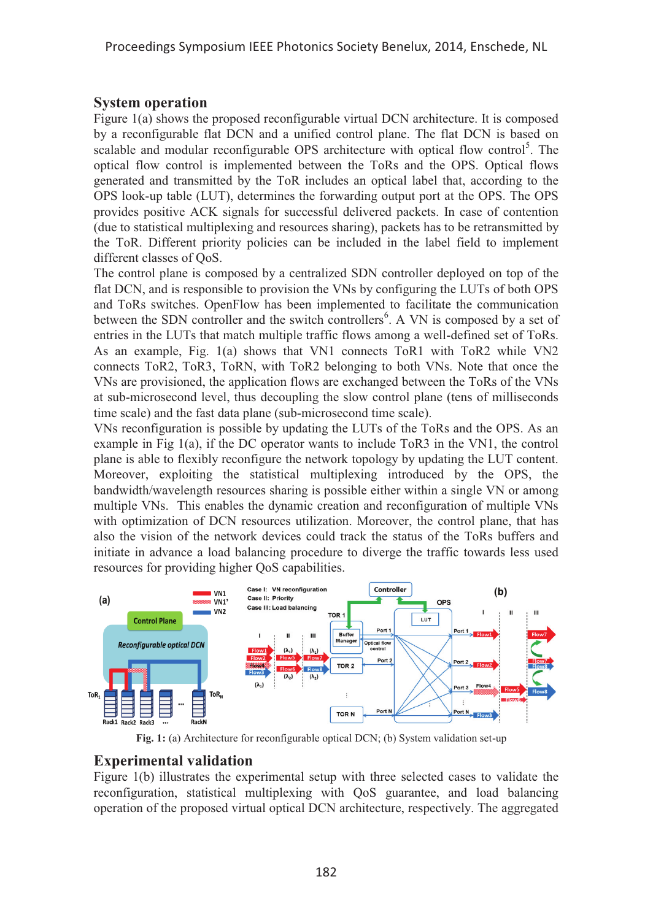## **System operation**

Figure 1(a) shows the proposed reconfigurable virtual DCN architecture. It is composed by a reconfigurable flat DCN and a unified control plane. The flat DCN is based on scalable and modular reconfigurable OPS architecture with optical flow control<sup>5</sup>. The optical flow control is implemented between the ToRs and the OPS. Optical flows generated and transmitted by the ToR includes an optical label that, according to the OPS look-up table (LUT), determines the forwarding output port at the OPS. The OPS provides positive ACK signals for successful delivered packets. In case of contention (due to statistical multiplexing and resources sharing), packets has to be retransmitted by the ToR. Different priority policies can be included in the label field to implement different classes of QoS.

The control plane is composed by a centralized SDN controller deployed on top of the flat DCN, and is responsible to provision the VNs by configuring the LUTs of both OPS and ToRs switches. OpenFlow has been implemented to facilitate the communication between the SDN controller and the switch controllers<sup>6</sup>. A VN is composed by a set of entries in the LUTs that match multiple traffic flows among a well-defined set of ToRs. As an example, Fig. 1(a) shows that VN1 connects ToR1 with ToR2 while VN2 connects ToR2, ToR3, ToRN, with ToR2 belonging to both VNs. Note that once the VNs are provisioned, the application flows are exchanged between the ToRs of the VNs at sub-microsecond level, thus decoupling the slow control plane (tens of milliseconds time scale) and the fast data plane (sub-microsecond time scale).

VNs reconfiguration is possible by updating the LUTs of the ToRs and the OPS. As an example in Fig 1(a), if the DC operator wants to include ToR3 in the VN1, the control plane is able to flexibly reconfigure the network topology by updating the LUT content. Moreover, exploiting the statistical multiplexing introduced by the OPS, the bandwidth/wavelength resources sharing is possible either within a single VN or among multiple VNs. This enables the dynamic creation and reconfiguration of multiple VNs with optimization of DCN resources utilization. Moreover, the control plane, that has also the vision of the network devices could track the status of the ToRs buffers and initiate in advance a load balancing procedure to diverge the traffic towards less used resources for providing higher QoS capabilities.



**Fig. 1:** (a) Architecture for reconfigurable optical DCN; (b) System validation set-up

# **Experimental validation**

Figure 1(b) illustrates the experimental setup with three selected cases to validate the reconfiguration, statistical multiplexing with QoS guarantee, and load balancing operation of the proposed virtual optical DCN architecture, respectively. The aggregated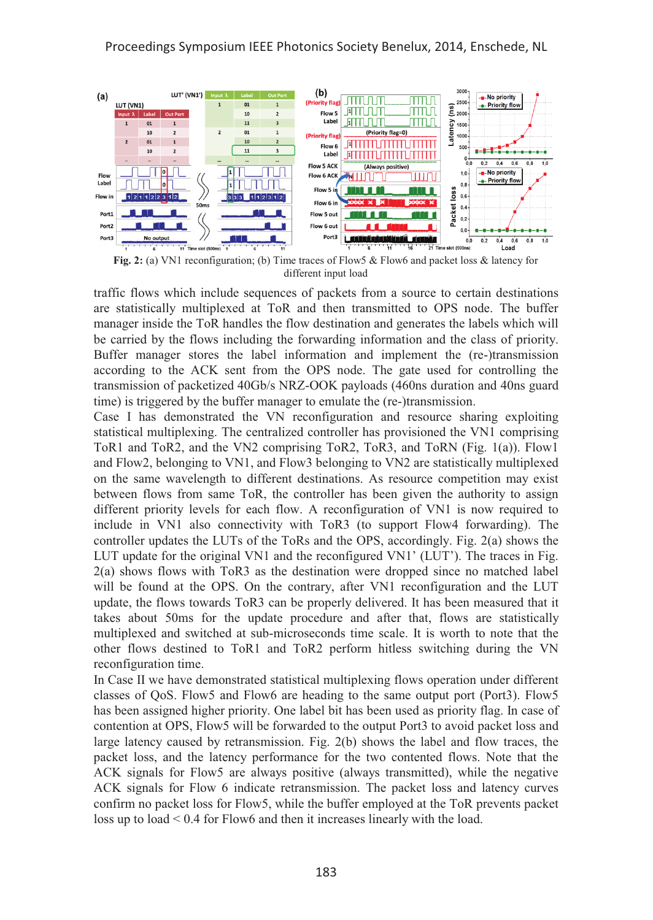

**Fig. 2:** (a) VN1 reconfiguration; (b) Time traces of Flow5 & Flow6 and packet loss & latency for different input load

traffic flows which include sequences of packets from a source to certain destinations are statistically multiplexed at ToR and then transmitted to OPS node. The buffer manager inside the ToR handles the flow destination and generates the labels which will be carried by the flows including the forwarding information and the class of priority. Buffer manager stores the label information and implement the (re-)transmission according to the ACK sent from the OPS node. The gate used for controlling the transmission of packetized 40Gb/s NRZ-OOK payloads (460ns duration and 40ns guard time) is triggered by the buffer manager to emulate the (re-)transmission.

Case I has demonstrated the VN reconfiguration and resource sharing exploiting statistical multiplexing. The centralized controller has provisioned the VN1 comprising ToR1 and ToR2, and the VN2 comprising ToR2, ToR3, and ToRN (Fig. 1(a)). Flow1 and Flow2, belonging to VN1, and Flow3 belonging to VN2 are statistically multiplexed on the same wavelength to different destinations. As resource competition may exist between flows from same ToR, the controller has been given the authority to assign different priority levels for each flow. A reconfiguration of VN1 is now required to include in VN1 also connectivity with ToR3 (to support Flow4 forwarding). The controller updates the LUTs of the ToRs and the OPS, accordingly. Fig. 2(a) shows the LUT update for the original VN1 and the reconfigured VN1' (LUT'). The traces in Fig. 2(a) shows flows with ToR3 as the destination were dropped since no matched label will be found at the OPS. On the contrary, after VN1 reconfiguration and the LUT update, the flows towards ToR3 can be properly delivered. It has been measured that it takes about 50ms for the update procedure and after that, flows are statistically multiplexed and switched at sub-microseconds time scale. It is worth to note that the other flows destined to ToR1 and ToR2 perform hitless switching during the VN reconfiguration time.

In Case II we have demonstrated statistical multiplexing flows operation under different classes of QoS. Flow5 and Flow6 are heading to the same output port (Port3). Flow5 has been assigned higher priority. One label bit has been used as priority flag. In case of contention at OPS, Flow5 will be forwarded to the output Port3 to avoid packet loss and large latency caused by retransmission. Fig. 2(b) shows the label and flow traces, the packet loss, and the latency performance for the two contented flows. Note that the ACK signals for Flow5 are always positive (always transmitted), while the negative ACK signals for Flow 6 indicate retransmission. The packet loss and latency curves confirm no packet loss for Flow5, while the buffer employed at the ToR prevents packet loss up to load < 0.4 for Flow6 and then it increases linearly with the load.